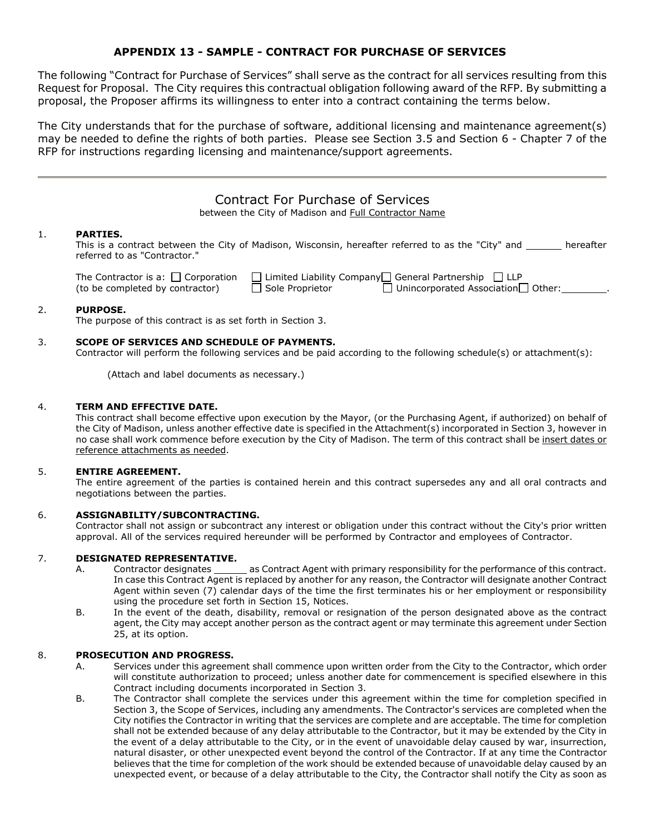# **APPENDIX 13 - SAMPLE - CONTRACT FOR PURCHASE OF SERVICES**

The following "Contract for Purchase of Services" shall serve as the contract for all services resulting from this Request for Proposal. The City requires this contractual obligation following award of the RFP. By submitting a proposal, the Proposer affirms its willingness to enter into a contract containing the terms below.

The City understands that for the purchase of software, additional licensing and maintenance agreement(s) may be needed to define the rights of both parties. Please see Section 3.5 and Section 6 - Chapter 7 of the RFP for instructions regarding licensing and maintenance/support agreements.

|    |                                                                            | <b>Contract For Purchase of Services</b><br>between the City of Madison and Full Contractor Name                                                    |  |
|----|----------------------------------------------------------------------------|-----------------------------------------------------------------------------------------------------------------------------------------------------|--|
| 1. | <b>PARTIES.</b><br>referred to as "Contractor."                            | This is a contract between the City of Madison, Wisconsin, hereafter referred to as the "City" and hereafter                                        |  |
|    | The Contractor is a: $\Box$ Corporation<br>(to be completed by contractor) | $\Box$ Limited Liability Company $\Box$ General Partnership $\Box$ LLP<br>$\Box$ Unincorporated Association $\Box$ Other:<br>$\Box$ Sole Proprietor |  |

## 2. **PURPOSE.**

The purpose of this contract is as set forth in Section 3.

## 3. **SCOPE OF SERVICES AND SCHEDULE OF PAYMENTS.**

Contractor will perform the following services and be paid according to the following schedule(s) or attachment(s):

(Attach and label documents as necessary.)

## 4. **TERM AND EFFECTIVE DATE.**

This contract shall become effective upon execution by the Mayor, (or the Purchasing Agent, if authorized) on behalf of the City of Madison, unless another effective date is specified in the Attachment(s) incorporated in Section 3, however in no case shall work commence before execution by the City of Madison. The term of this contract shall be insert dates or reference attachments as needed.

## 5. **ENTIRE AGREEMENT.**

The entire agreement of the parties is contained herein and this contract supersedes any and all oral contracts and negotiations between the parties.

## 6. **ASSIGNABILITY/SUBCONTRACTING.**

Contractor shall not assign or subcontract any interest or obligation under this contract without the City's prior written approval. All of the services required hereunder will be performed by Contractor and employees of Contractor.

## 7. **DESIGNATED REPRESENTATIVE.**

- A. Contractor designates \_\_\_\_\_\_\_ as Contract Agent with primary responsibility for the performance of this contract. In case this Contract Agent is replaced by another for any reason, the Contractor will designate another Contract Agent within seven (7) calendar days of the time the first terminates his or her employment or responsibility using the procedure set forth in Section 15, Notices.
- B. In the event of the death, disability, removal or resignation of the person designated above as the contract agent, the City may accept another person as the contract agent or may terminate this agreement under Section 25, at its option.

### 8. **PROSECUTION AND PROGRESS.**

- A. Services under this agreement shall commence upon written order from the City to the Contractor, which order will constitute authorization to proceed; unless another date for commencement is specified elsewhere in this Contract including documents incorporated in Section 3.
- B. The Contractor shall complete the services under this agreement within the time for completion specified in Section 3, the Scope of Services, including any amendments. The Contractor's services are completed when the City notifies the Contractor in writing that the services are complete and are acceptable. The time for completion shall not be extended because of any delay attributable to the Contractor, but it may be extended by the City in the event of a delay attributable to the City, or in the event of unavoidable delay caused by war, insurrection, natural disaster, or other unexpected event beyond the control of the Contractor. If at any time the Contractor believes that the time for completion of the work should be extended because of unavoidable delay caused by an unexpected event, or because of a delay attributable to the City, the Contractor shall notify the City as soon as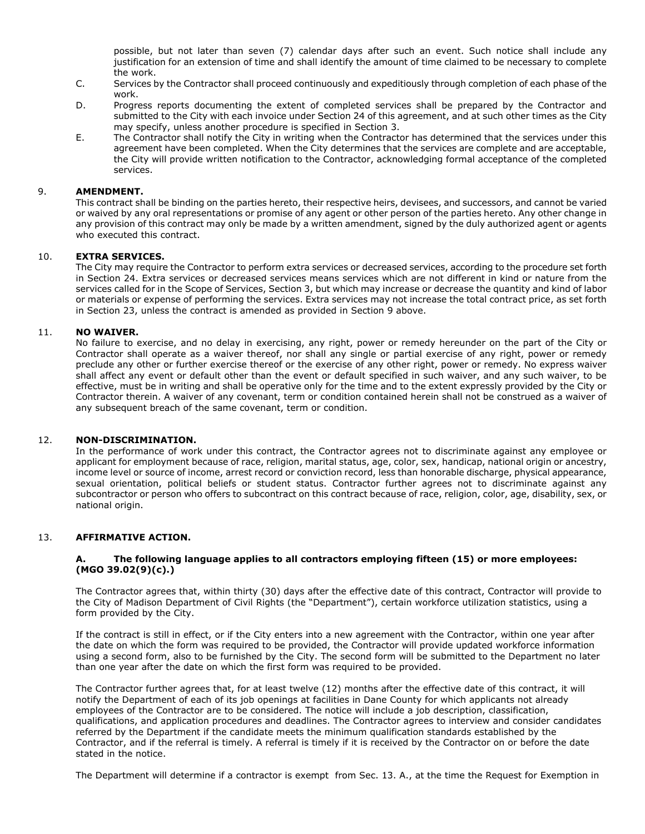possible, but not later than seven (7) calendar days after such an event. Such notice shall include any justification for an extension of time and shall identify the amount of time claimed to be necessary to complete the work.

- C. Services by the Contractor shall proceed continuously and expeditiously through completion of each phase of the work.
- D. Progress reports documenting the extent of completed services shall be prepared by the Contractor and submitted to the City with each invoice under Section 24 of this agreement, and at such other times as the City may specify, unless another procedure is specified in Section 3.
- E. The Contractor shall notify the City in writing when the Contractor has determined that the services under this agreement have been completed. When the City determines that the services are complete and are acceptable, the City will provide written notification to the Contractor, acknowledging formal acceptance of the completed services.

### 9. **AMENDMENT.**

This contract shall be binding on the parties hereto, their respective heirs, devisees, and successors, and cannot be varied or waived by any oral representations or promise of any agent or other person of the parties hereto. Any other change in any provision of this contract may only be made by a written amendment, signed by the duly authorized agent or agents who executed this contract.

### 10. **EXTRA SERVICES.**

The City may require the Contractor to perform extra services or decreased services, according to the procedure set forth in Section 24. Extra services or decreased services means services which are not different in kind or nature from the services called for in the Scope of Services, Section 3, but which may increase or decrease the quantity and kind of labor or materials or expense of performing the services. Extra services may not increase the total contract price, as set forth in Section 23, unless the contract is amended as provided in Section 9 above.

### 11. **NO WAIVER.**

No failure to exercise, and no delay in exercising, any right, power or remedy hereunder on the part of the City or Contractor shall operate as a waiver thereof, nor shall any single or partial exercise of any right, power or remedy preclude any other or further exercise thereof or the exercise of any other right, power or remedy. No express waiver shall affect any event or default other than the event or default specified in such waiver, and any such waiver, to be effective, must be in writing and shall be operative only for the time and to the extent expressly provided by the City or Contractor therein. A waiver of any covenant, term or condition contained herein shall not be construed as a waiver of any subsequent breach of the same covenant, term or condition.

## 12. **NON-DISCRIMINATION.**

In the performance of work under this contract, the Contractor agrees not to discriminate against any employee or applicant for employment because of race, religion, marital status, age, color, sex, handicap, national origin or ancestry, income level or source of income, arrest record or conviction record, less than honorable discharge, physical appearance, sexual orientation, political beliefs or student status. Contractor further agrees not to discriminate against any subcontractor or person who offers to subcontract on this contract because of race, religion, color, age, disability, sex, or national origin.

## 13. **AFFIRMATIVE ACTION.**

### **A. The following language applies to all contractors employing fifteen (15) or more employees: (MGO 39.02(9)(c).)**

The Contractor agrees that, within thirty (30) days after the effective date of this contract, Contractor will provide to the City of Madison Department of Civil Rights (the "Department"), certain workforce utilization statistics, using a form provided by the City.

If the contract is still in effect, or if the City enters into a new agreement with the Contractor, within one year after the date on which the form was required to be provided, the Contractor will provide updated workforce information using a second form, also to be furnished by the City. The second form will be submitted to the Department no later than one year after the date on which the first form was required to be provided.

The Contractor further agrees that, for at least twelve (12) months after the effective date of this contract, it will notify the Department of each of its job openings at facilities in Dane County for which applicants not already employees of the Contractor are to be considered. The notice will include a job description, classification, qualifications, and application procedures and deadlines. The Contractor agrees to interview and consider candidates referred by the Department if the candidate meets the minimum qualification standards established by the Contractor, and if the referral is timely. A referral is timely if it is received by the Contractor on or before the date stated in the notice.

The Department will determine if a contractor is exempt from Sec. 13. A., at the time the Request for Exemption in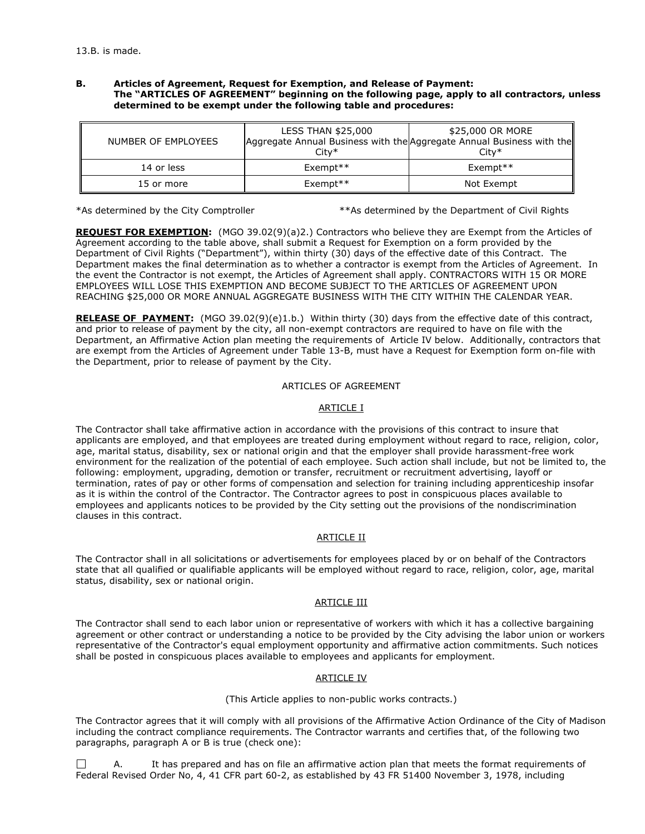### **B. Articles of Agreement, Request for Exemption, and Release of Payment: The "ARTICLES OF AGREEMENT" beginning on the following page, apply to all contractors, unless determined to be exempt under the following table and procedures:**

| NUMBER OF EMPLOYEES | <b>LESS THAN \$25,000</b><br>Aggregate Annual Business with the Aggregate Annual Business with the<br>$City*$ | \$25,000 OR MORE<br>$Citv*$ |
|---------------------|---------------------------------------------------------------------------------------------------------------|-----------------------------|
| 14 or less          | $Exempt**$                                                                                                    | $Exempt**$                  |
| 15 or more          | $Exempty**$                                                                                                   | Not Exempt                  |

\*As determined by the City Comptroller \*\*As determined by the Department of Civil Rights

**REQUEST FOR EXEMPTION:** (MGO 39.02(9)(a)2.) Contractors who believe they are Exempt from the Articles of Agreement according to the table above, shall submit a Request for Exemption on a form provided by the Department of Civil Rights ("Department"), within thirty (30) days of the effective date of this Contract. The Department makes the final determination as to whether a contractor is exempt from the Articles of Agreement. In the event the Contractor is not exempt, the Articles of Agreement shall apply. CONTRACTORS WITH 15 OR MORE EMPLOYEES WILL LOSE THIS EXEMPTION AND BECOME SUBJECT TO THE ARTICLES OF AGREEMENT UPON REACHING \$25,000 OR MORE ANNUAL AGGREGATE BUSINESS WITH THE CITY WITHIN THE CALENDAR YEAR.

**RELEASE OF PAYMENT:** (MGO 39.02(9)(e)1.b.) Within thirty (30) days from the effective date of this contract, and prior to release of payment by the city, all non-exempt contractors are required to have on file with the Department, an Affirmative Action plan meeting the requirements of Article IV below. Additionally, contractors that are exempt from the Articles of Agreement under Table 13-B, must have a Request for Exemption form on-file with the Department, prior to release of payment by the City.

### ARTICLES OF AGREEMENT

## ARTICLE I

The Contractor shall take affirmative action in accordance with the provisions of this contract to insure that applicants are employed, and that employees are treated during employment without regard to race, religion, color, age, marital status, disability, sex or national origin and that the employer shall provide harassment-free work environment for the realization of the potential of each employee. Such action shall include, but not be limited to, the following: employment, upgrading, demotion or transfer, recruitment or recruitment advertising, layoff or termination, rates of pay or other forms of compensation and selection for training including apprenticeship insofar as it is within the control of the Contractor. The Contractor agrees to post in conspicuous places available to employees and applicants notices to be provided by the City setting out the provisions of the nondiscrimination clauses in this contract.

## ARTICLE II

The Contractor shall in all solicitations or advertisements for employees placed by or on behalf of the Contractors state that all qualified or qualifiable applicants will be employed without regard to race, religion, color, age, marital status, disability, sex or national origin.

## ARTICLE III

The Contractor shall send to each labor union or representative of workers with which it has a collective bargaining agreement or other contract or understanding a notice to be provided by the City advising the labor union or workers representative of the Contractor's equal employment opportunity and affirmative action commitments. Such notices shall be posted in conspicuous places available to employees and applicants for employment.

## ARTICLE IV

(This Article applies to non-public works contracts.)

The Contractor agrees that it will comply with all provisions of the Affirmative Action Ordinance of the City of Madison including the contract compliance requirements. The Contractor warrants and certifies that, of the following two paragraphs, paragraph A or B is true (check one):

 $\Box$  A. It has prepared and has on file an affirmative action plan that meets the format requirements of Federal Revised Order No, 4, 41 CFR part 60-2, as established by 43 FR 51400 November 3, 1978, including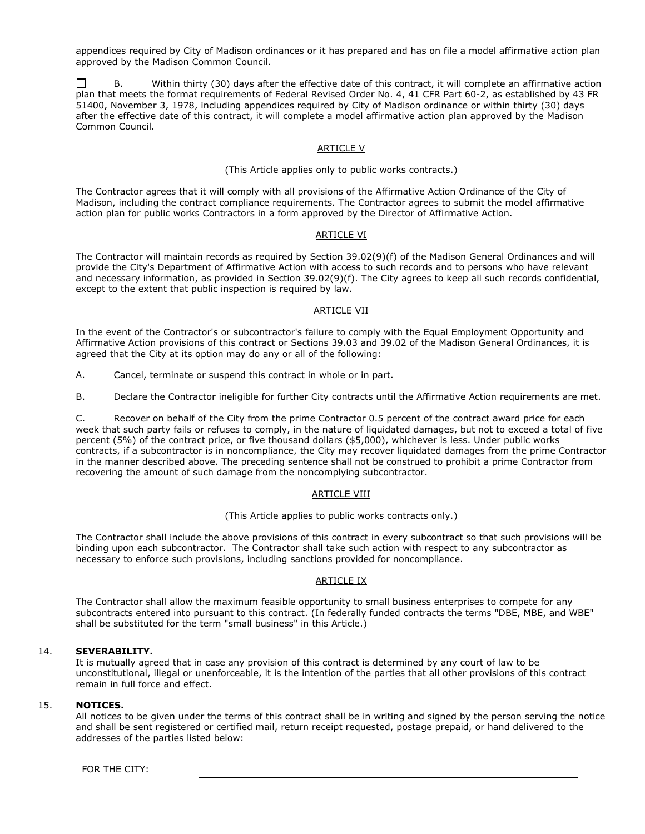appendices required by City of Madison ordinances or it has prepared and has on file a model affirmative action plan approved by the Madison Common Council.

Within thirty (30) days after the effective date of this contract, it will complete an affirmative action plan that meets the format requirements of Federal Revised Order No. 4, 41 CFR Part 60-2, as established by 43 FR 51400, November 3, 1978, including appendices required by City of Madison ordinance or within thirty (30) days after the effective date of this contract, it will complete a model affirmative action plan approved by the Madison Common Council.

### ARTICLE V

#### (This Article applies only to public works contracts.)

The Contractor agrees that it will comply with all provisions of the Affirmative Action Ordinance of the City of Madison, including the contract compliance requirements. The Contractor agrees to submit the model affirmative action plan for public works Contractors in a form approved by the Director of Affirmative Action.

## ARTICLE VI

The Contractor will maintain records as required by Section 39.02(9)(f) of the Madison General Ordinances and will provide the City's Department of Affirmative Action with access to such records and to persons who have relevant and necessary information, as provided in Section 39.02(9)(f). The City agrees to keep all such records confidential, except to the extent that public inspection is required by law.

## ARTICLE VII

In the event of the Contractor's or subcontractor's failure to comply with the Equal Employment Opportunity and Affirmative Action provisions of this contract or Sections 39.03 and 39.02 of the Madison General Ordinances, it is agreed that the City at its option may do any or all of the following:

A. Cancel, terminate or suspend this contract in whole or in part.

B. Declare the Contractor ineligible for further City contracts until the Affirmative Action requirements are met.

C. Recover on behalf of the City from the prime Contractor 0.5 percent of the contract award price for each week that such party fails or refuses to comply, in the nature of liquidated damages, but not to exceed a total of five percent (5%) of the contract price, or five thousand dollars (\$5,000), whichever is less. Under public works contracts, if a subcontractor is in noncompliance, the City may recover liquidated damages from the prime Contractor in the manner described above. The preceding sentence shall not be construed to prohibit a prime Contractor from recovering the amount of such damage from the noncomplying subcontractor.

## ARTICLE VIII

#### (This Article applies to public works contracts only.)

The Contractor shall include the above provisions of this contract in every subcontract so that such provisions will be binding upon each subcontractor. The Contractor shall take such action with respect to any subcontractor as necessary to enforce such provisions, including sanctions provided for noncompliance.

## ARTICLE IX

The Contractor shall allow the maximum feasible opportunity to small business enterprises to compete for any subcontracts entered into pursuant to this contract. (In federally funded contracts the terms "DBE, MBE, and WBE" shall be substituted for the term "small business" in this Article.)

## 14. **SEVERABILITY.**

It is mutually agreed that in case any provision of this contract is determined by any court of law to be unconstitutional, illegal or unenforceable, it is the intention of the parties that all other provisions of this contract remain in full force and effect.

## 15. **NOTICES.**

All notices to be given under the terms of this contract shall be in writing and signed by the person serving the notice and shall be sent registered or certified mail, return receipt requested, postage prepaid, or hand delivered to the addresses of the parties listed below:

FOR THE CITY: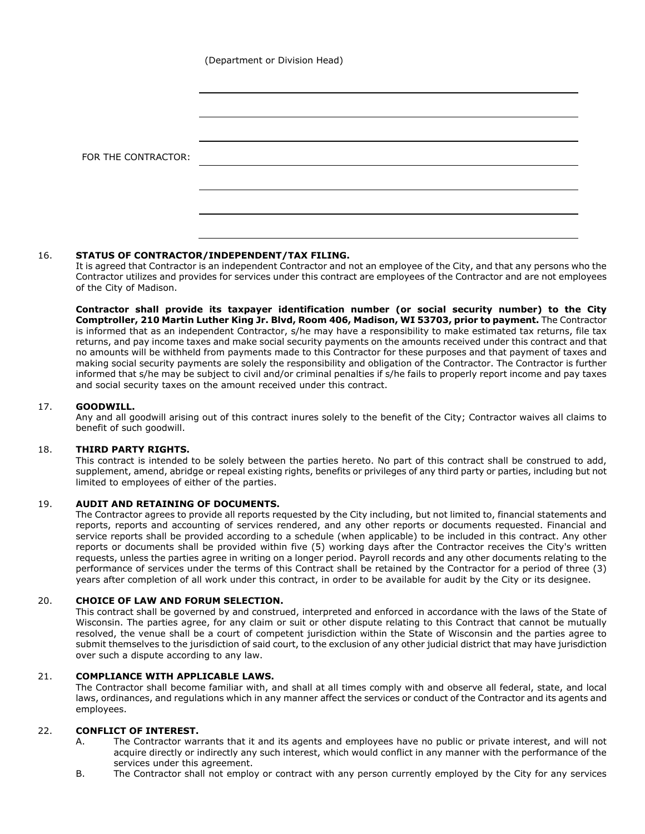(Department or Division Head)

| FOR THE CONTRACTOR: |  |
|---------------------|--|
|                     |  |
|                     |  |
|                     |  |

## 16. **STATUS OF CONTRACTOR/INDEPENDENT/TAX FILING.**

It is agreed that Contractor is an independent Contractor and not an employee of the City, and that any persons who the Contractor utilizes and provides for services under this contract are employees of the Contractor and are not employees of the City of Madison.

**Contractor shall provide its taxpayer identification number (or social security number) to the City Comptroller, 210 Martin Luther King Jr. Blvd, Room 406, Madison, WI 53703, prior to payment.** The Contractor is informed that as an independent Contractor, s/he may have a responsibility to make estimated tax returns, file tax returns, and pay income taxes and make social security payments on the amounts received under this contract and that no amounts will be withheld from payments made to this Contractor for these purposes and that payment of taxes and making social security payments are solely the responsibility and obligation of the Contractor. The Contractor is further informed that s/he may be subject to civil and/or criminal penalties if s/he fails to properly report income and pay taxes and social security taxes on the amount received under this contract.

## 17. **GOODWILL.**

Any and all goodwill arising out of this contract inures solely to the benefit of the City; Contractor waives all claims to benefit of such goodwill.

## 18. **THIRD PARTY RIGHTS.**

This contract is intended to be solely between the parties hereto. No part of this contract shall be construed to add, supplement, amend, abridge or repeal existing rights, benefits or privileges of any third party or parties, including but not limited to employees of either of the parties.

## 19. **AUDIT AND RETAINING OF DOCUMENTS.**

The Contractor agrees to provide all reports requested by the City including, but not limited to, financial statements and reports, reports and accounting of services rendered, and any other reports or documents requested. Financial and service reports shall be provided according to a schedule (when applicable) to be included in this contract. Any other reports or documents shall be provided within five (5) working days after the Contractor receives the City's written requests, unless the parties agree in writing on a longer period. Payroll records and any other documents relating to the performance of services under the terms of this Contract shall be retained by the Contractor for a period of three (3) years after completion of all work under this contract, in order to be available for audit by the City or its designee.

## 20. **CHOICE OF LAW AND FORUM SELECTION.**

This contract shall be governed by and construed, interpreted and enforced in accordance with the laws of the State of Wisconsin. The parties agree, for any claim or suit or other dispute relating to this Contract that cannot be mutually resolved, the venue shall be a court of competent jurisdiction within the State of Wisconsin and the parties agree to submit themselves to the jurisdiction of said court, to the exclusion of any other judicial district that may have jurisdiction over such a dispute according to any law.

## 21. **COMPLIANCE WITH APPLICABLE LAWS.**

The Contractor shall become familiar with, and shall at all times comply with and observe all federal, state, and local laws, ordinances, and regulations which in any manner affect the services or conduct of the Contractor and its agents and employees.

## 22. **CONFLICT OF INTEREST.**

- A. The Contractor warrants that it and its agents and employees have no public or private interest, and will not acquire directly or indirectly any such interest, which would conflict in any manner with the performance of the services under this agreement.
- B. The Contractor shall not employ or contract with any person currently employed by the City for any services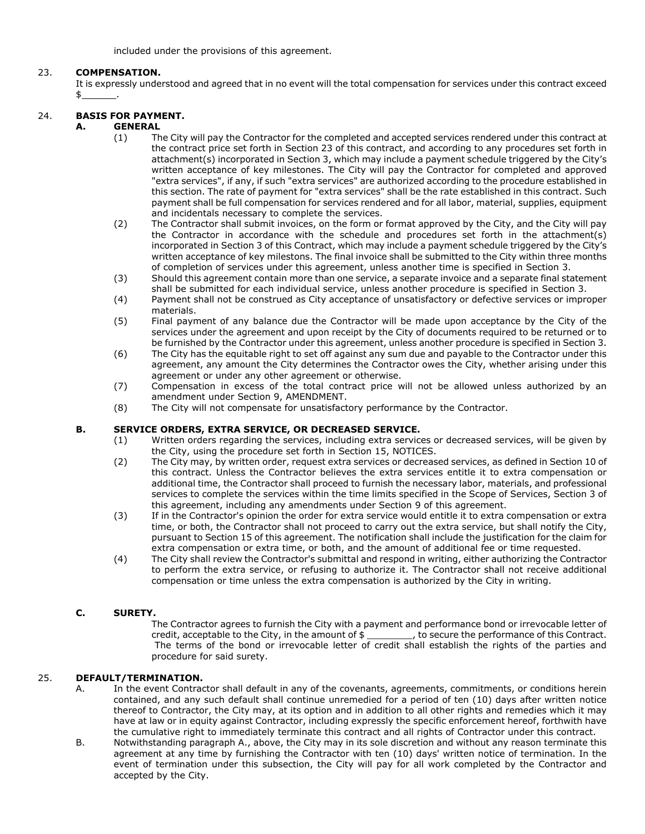included under the provisions of this agreement.

## 23. **COMPENSATION.**

It is expressly understood and agreed that in no event will the total compensation for services under this contract exceed  $$$ 

# 24. **BASIS FOR PAYMENT.**

## **A. GENERAL**

- (1) The City will pay the Contractor for the completed and accepted services rendered under this contract at the contract price set forth in Section 23 of this contract, and according to any procedures set forth in attachment(s) incorporated in Section 3, which may include a payment schedule triggered by the City's written acceptance of key milestones. The City will pay the Contractor for completed and approved "extra services", if any, if such "extra services" are authorized according to the procedure established in this section. The rate of payment for "extra services" shall be the rate established in this contract. Such payment shall be full compensation for services rendered and for all labor, material, supplies, equipment and incidentals necessary to complete the services.
- (2) The Contractor shall submit invoices, on the form or format approved by the City, and the City will pay the Contractor in accordance with the schedule and procedures set forth in the attachment(s) incorporated in Section 3 of this Contract, which may include a payment schedule triggered by the City's written acceptance of key milestons. The final invoice shall be submitted to the City within three months of completion of services under this agreement, unless another time is specified in Section 3.
- (3) Should this agreement contain more than one service, a separate invoice and a separate final statement shall be submitted for each individual service, unless another procedure is specified in Section 3.
- (4) Payment shall not be construed as City acceptance of unsatisfactory or defective services or improper materials.
- (5) Final payment of any balance due the Contractor will be made upon acceptance by the City of the services under the agreement and upon receipt by the City of documents required to be returned or to be furnished by the Contractor under this agreement, unless another procedure is specified in Section 3.
- (6) The City has the equitable right to set off against any sum due and payable to the Contractor under this agreement, any amount the City determines the Contractor owes the City, whether arising under this agreement or under any other agreement or otherwise.
- (7) Compensation in excess of the total contract price will not be allowed unless authorized by an amendment under Section 9, AMENDMENT.
- (8) The City will not compensate for unsatisfactory performance by the Contractor.

## **B. SERVICE ORDERS, EXTRA SERVICE, OR DECREASED SERVICE.**

- (1) Written orders regarding the services, including extra services or decreased services, will be given by the City, using the procedure set forth in Section 15, NOTICES.
- (2) The City may, by written order, request extra services or decreased services, as defined in Section 10 of this contract. Unless the Contractor believes the extra services entitle it to extra compensation or additional time, the Contractor shall proceed to furnish the necessary labor, materials, and professional services to complete the services within the time limits specified in the Scope of Services, Section 3 of this agreement, including any amendments under Section 9 of this agreement.
- (3) If in the Contractor's opinion the order for extra service would entitle it to extra compensation or extra time, or both, the Contractor shall not proceed to carry out the extra service, but shall notify the City, pursuant to Section 15 of this agreement. The notification shall include the justification for the claim for extra compensation or extra time, or both, and the amount of additional fee or time requested.
- (4) The City shall review the Contractor's submittal and respond in writing, either authorizing the Contractor to perform the extra service, or refusing to authorize it. The Contractor shall not receive additional compensation or time unless the extra compensation is authorized by the City in writing.

## **C. SURETY.**

The Contractor agrees to furnish the City with a payment and performance bond or irrevocable letter of credit, acceptable to the City, in the amount of  $\frac{1}{2}$  to secure the performance of this Contract. credit, acceptable to the City, in the amount of \$ The terms of the bond or irrevocable letter of credit shall establish the rights of the parties and procedure for said surety.

## 25. **DEFAULT/TERMINATION.**

- A. In the event Contractor shall default in any of the covenants, agreements, commitments, or conditions herein contained, and any such default shall continue unremedied for a period of ten (10) days after written notice thereof to Contractor, the City may, at its option and in addition to all other rights and remedies which it may have at law or in equity against Contractor, including expressly the specific enforcement hereof, forthwith have the cumulative right to immediately terminate this contract and all rights of Contractor under this contract.
- B. Notwithstanding paragraph A., above, the City may in its sole discretion and without any reason terminate this agreement at any time by furnishing the Contractor with ten (10) days' written notice of termination. In the event of termination under this subsection, the City will pay for all work completed by the Contractor and accepted by the City.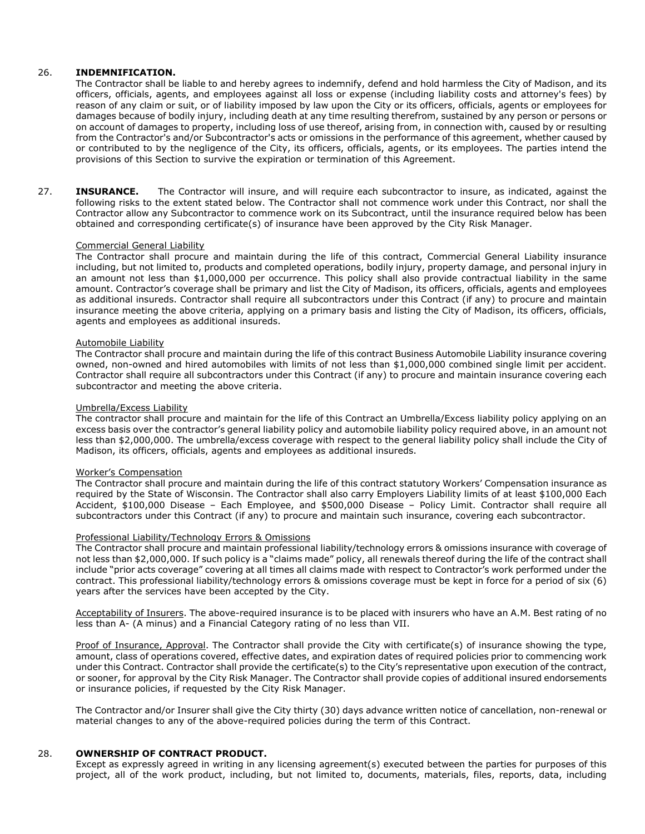## 26. **INDEMNIFICATION.**

The Contractor shall be liable to and hereby agrees to indemnify, defend and hold harmless the City of Madison, and its officers, officials, agents, and employees against all loss or expense (including liability costs and attorney's fees) by reason of any claim or suit, or of liability imposed by law upon the City or its officers, officials, agents or employees for damages because of bodily injury, including death at any time resulting therefrom, sustained by any person or persons or on account of damages to property, including loss of use thereof, arising from, in connection with, caused by or resulting from the Contractor's and/or Subcontractor's acts or omissions in the performance of this agreement, whether caused by or contributed to by the negligence of the City, its officers, officials, agents, or its employees. The parties intend the provisions of this Section to survive the expiration or termination of this Agreement.

27. **INSURANCE.** The Contractor will insure, and will require each subcontractor to insure, as indicated, against the following risks to the extent stated below. The Contractor shall not commence work under this Contract, nor shall the Contractor allow any Subcontractor to commence work on its Subcontract, until the insurance required below has been obtained and corresponding certificate(s) of insurance have been approved by the City Risk Manager.

### Commercial General Liability

The Contractor shall procure and maintain during the life of this contract, Commercial General Liability insurance including, but not limited to, products and completed operations, bodily injury, property damage, and personal injury in an amount not less than \$1,000,000 per occurrence. This policy shall also provide contractual liability in the same amount. Contractor's coverage shall be primary and list the City of Madison, its officers, officials, agents and employees as additional insureds. Contractor shall require all subcontractors under this Contract (if any) to procure and maintain insurance meeting the above criteria, applying on a primary basis and listing the City of Madison, its officers, officials, agents and employees as additional insureds.

### Automobile Liability

The Contractor shall procure and maintain during the life of this contract Business Automobile Liability insurance covering owned, non-owned and hired automobiles with limits of not less than \$1,000,000 combined single limit per accident. Contractor shall require all subcontractors under this Contract (if any) to procure and maintain insurance covering each subcontractor and meeting the above criteria.

#### Umbrella/Excess Liability

The contractor shall procure and maintain for the life of this Contract an Umbrella/Excess liability policy applying on an excess basis over the contractor's general liability policy and automobile liability policy required above, in an amount not less than \$2,000,000. The umbrella/excess coverage with respect to the general liability policy shall include the City of Madison, its officers, officials, agents and employees as additional insureds.

#### Worker's Compensation

The Contractor shall procure and maintain during the life of this contract statutory Workers' Compensation insurance as required by the State of Wisconsin. The Contractor shall also carry Employers Liability limits of at least \$100,000 Each Accident, \$100,000 Disease – Each Employee, and \$500,000 Disease – Policy Limit. Contractor shall require all subcontractors under this Contract (if any) to procure and maintain such insurance, covering each subcontractor.

#### Professional Liability/Technology Errors & Omissions

The Contractor shall procure and maintain professional liability/technology errors & omissions insurance with coverage of not less than \$2,000,000. If such policy is a "claims made" policy, all renewals thereof during the life of the contract shall include "prior acts coverage" covering at all times all claims made with respect to Contractor's work performed under the contract. This professional liability/technology errors & omissions coverage must be kept in force for a period of six (6) years after the services have been accepted by the City.

Acceptability of Insurers. The above-required insurance is to be placed with insurers who have an A.M. Best rating of no less than A- (A minus) and a Financial Category rating of no less than VII.

Proof of Insurance, Approval. The Contractor shall provide the City with certificate(s) of insurance showing the type. amount, class of operations covered, effective dates, and expiration dates of required policies prior to commencing work under this Contract. Contractor shall provide the certificate(s) to the City's representative upon execution of the contract, or sooner, for approval by the City Risk Manager. The Contractor shall provide copies of additional insured endorsements or insurance policies, if requested by the City Risk Manager.

The Contractor and/or Insurer shall give the City thirty (30) days advance written notice of cancellation, non-renewal or material changes to any of the above-required policies during the term of this Contract.

## 28. **OWNERSHIP OF CONTRACT PRODUCT.**

Except as expressly agreed in writing in any licensing agreement(s) executed between the parties for purposes of this project, all of the work product, including, but not limited to, documents, materials, files, reports, data, including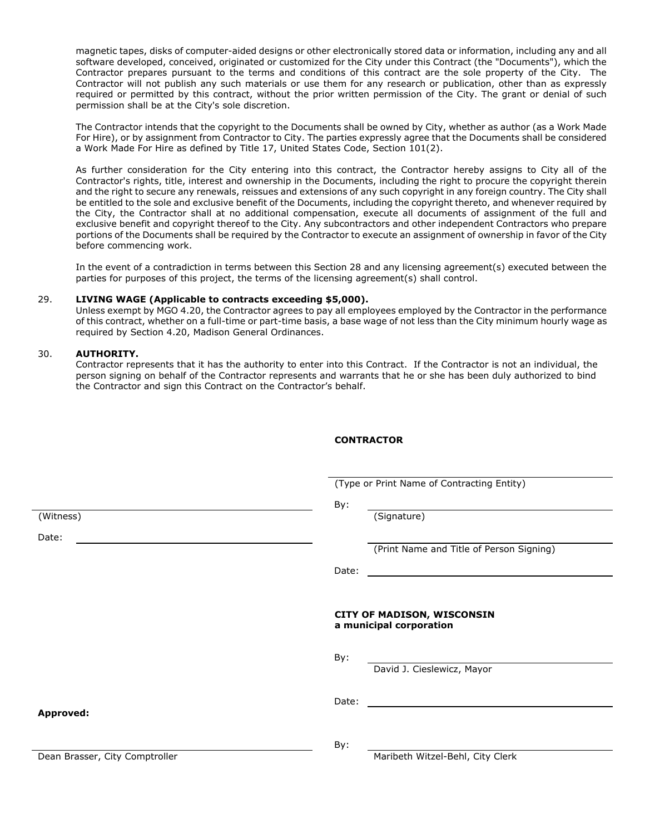magnetic tapes, disks of computer-aided designs or other electronically stored data or information, including any and all software developed, conceived, originated or customized for the City under this Contract (the "Documents"), which the Contractor prepares pursuant to the terms and conditions of this contract are the sole property of the City. The Contractor will not publish any such materials or use them for any research or publication, other than as expressly required or permitted by this contract, without the prior written permission of the City. The grant or denial of such permission shall be at the City's sole discretion.

The Contractor intends that the copyright to the Documents shall be owned by City, whether as author (as a Work Made For Hire), or by assignment from Contractor to City. The parties expressly agree that the Documents shall be considered a Work Made For Hire as defined by Title 17, United States Code, Section 101(2).

As further consideration for the City entering into this contract, the Contractor hereby assigns to City all of the Contractor's rights, title, interest and ownership in the Documents, including the right to procure the copyright therein and the right to secure any renewals, reissues and extensions of any such copyright in any foreign country. The City shall be entitled to the sole and exclusive benefit of the Documents, including the copyright thereto, and whenever required by the City, the Contractor shall at no additional compensation, execute all documents of assignment of the full and exclusive benefit and copyright thereof to the City. Any subcontractors and other independent Contractors who prepare portions of the Documents shall be required by the Contractor to execute an assignment of ownership in favor of the City before commencing work.

In the event of a contradiction in terms between this Section 28 and any licensing agreement(s) executed between the parties for purposes of this project, the terms of the licensing agreement(s) shall control.

#### 29. **LIVING WAGE (Applicable to contracts exceeding \$5,000).**

Unless exempt by MGO 4.20, the Contractor agrees to pay all employees employed by the Contractor in the performance of this contract, whether on a full-time or part-time basis, a base wage of not less than the City minimum hourly wage as required by Section 4.20, Madison General Ordinances.

### 30. **AUTHORITY.**

Contractor represents that it has the authority to enter into this Contract. If the Contractor is not an individual, the person signing on behalf of the Contractor represents and warrants that he or she has been duly authorized to bind the Contractor and sign this Contract on the Contractor's behalf.

## **CONTRACTOR**

(Type or Print Name of Contracting Entity)

By:

(Witness) (Signature)

(Print Name and Title of Person Signing)

| ł<br><br>×<br>۰. |
|------------------|
|------------------|

### **CITY OF MADISON, WISCONSIN a municipal corporation**

By:

David J. Cieslewicz, Mayor

Date:

**Approved:**

Date:

By:

Dean Brasser, City Comptroller Maribeth Witzel-Behl, City Clerk